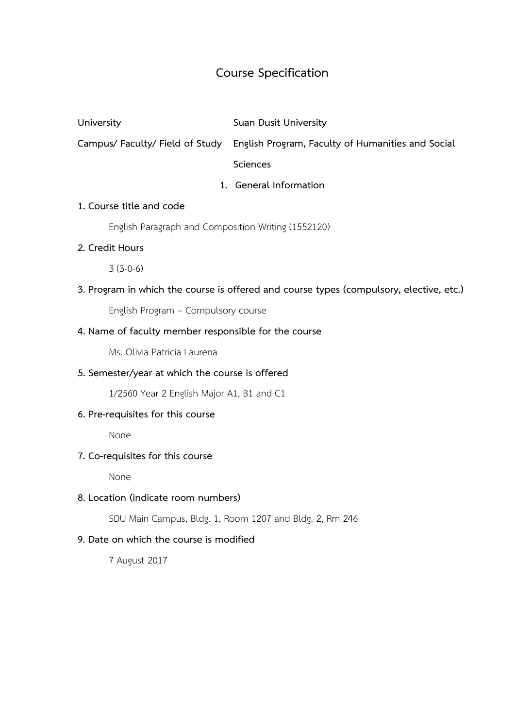# **Course Specification**

**University Suan Dusit University**

**Campus/ Faculty/ Field of Study English Program, Faculty of Humanities and Social** 

**Sciences**

# **1. General Information**

## **1. Course title and code**

English Paragraph and Composition Writing (1552120)

## **2. Credit Hours**

3 (3-0-6)

**3. Program in which the course is offered and course types (compulsory, elective, etc.)**

English Program – Compulsory course

# **4. Name of faculty member responsible for the course**

Ms. Olivia Patricia Laurena

# **5. Semester/year at which the course is offered**

1/2560 Year 2 English Major A1, B1 and C1

# **6. Pre-requisites for this course**

None

# **7. Co-requisites for this course**

None

# **8. Location (indicate room numbers)**

SDU Main Campus, Bldg. 1, Room 1207 and Bldg. 2, Rm 246

# **9. Date on which the course is modified**

7 August 2017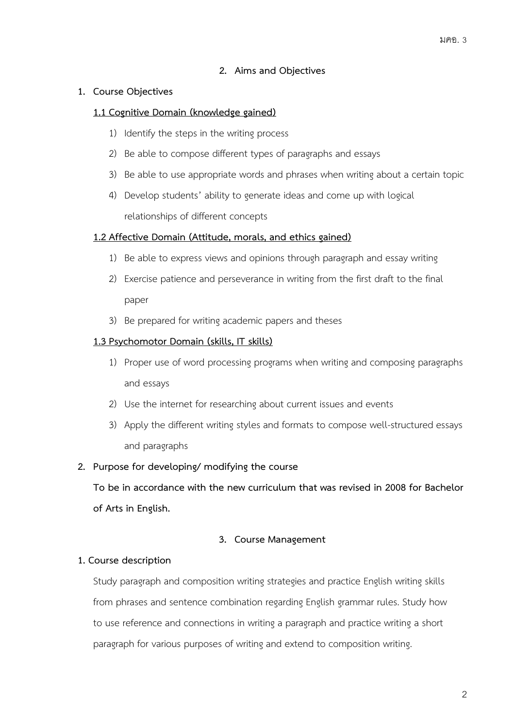## **2. Aims and Objectives**

#### **1. Course Objectives**

#### **1.1 Cognitive Domain (knowledge gained)**

- 1) Identify the steps in the writing process
- 2) Be able to compose different types of paragraphs and essays
- 3) Be able to use appropriate words and phrases when writing about a certain topic
- 4) Develop students' ability to generate ideas and come up with logical relationships of different concepts

#### **1.2 Affective Domain (Attitude, morals, and ethics gained)**

- 1) Be able to express views and opinions through paragraph and essay writing
- 2) Exercise patience and perseverance in writing from the first draft to the final paper
- 3) Be prepared for writing academic papers and theses

#### **1.3 Psychomotor Domain (skills, IT skills)**

- 1) Proper use of word processing programs when writing and composing paragraphs and essays
- 2) Use the internet for researching about current issues and events
- 3) Apply the different writing styles and formats to compose well-structured essays and paragraphs

#### **2. Purpose for developing/ modifying the course**

**To be in accordance with the new curriculum that was revised in 2008 for Bachelor of Arts in English.**

#### **3. Course Management**

#### **1. Course description**

Study paragraph and composition writing strategies and practice English writing skills from phrases and sentence combination regarding English grammar rules. Study how to use reference and connections in writing a paragraph and practice writing a short paragraph for various purposes of writing and extend to composition writing.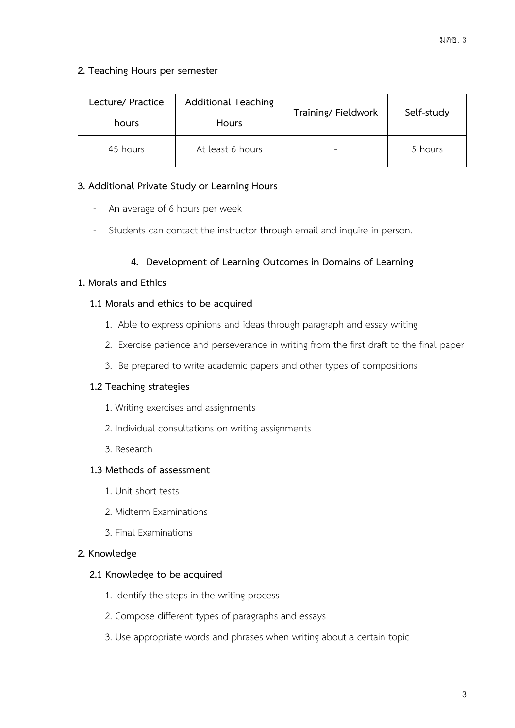## **2. Teaching Hours per semester**

| Lecture/ Practice<br>hours | <b>Additional Teaching</b><br><b>Hours</b> | Training/Fieldwork | Self-study |
|----------------------------|--------------------------------------------|--------------------|------------|
| 45 hours                   | At least 6 hours                           | -                  | 5 hours    |

## **3. Additional Private Study or Learning Hours**

- An average of 6 hours per week
- Students can contact the instructor through email and inquire in person.

## **4. Development of Learning Outcomes in Domains of Learning**

# **1. Morals and Ethics**

## **1.1 Morals and ethics to be acquired**

- 1. Able to express opinions and ideas through paragraph and essay writing
- 2. Exercise patience and perseverance in writing from the first draft to the final paper
- 3. Be prepared to write academic papers and other types of compositions

#### **1.2 Teaching strategies**

- 1. Writing exercises and assignments
- 2. Individual consultations on writing assignments
- 3. Research

# **1.3 Methods of assessment**

- 1. Unit short tests
- 2. Midterm Examinations
- 3. Final Examinations

#### **2. Knowledge**

#### **2.1 Knowledge to be acquired**

- 1. Identify the steps in the writing process
- 2. Compose different types of paragraphs and essays
- 3. Use appropriate words and phrases when writing about a certain topic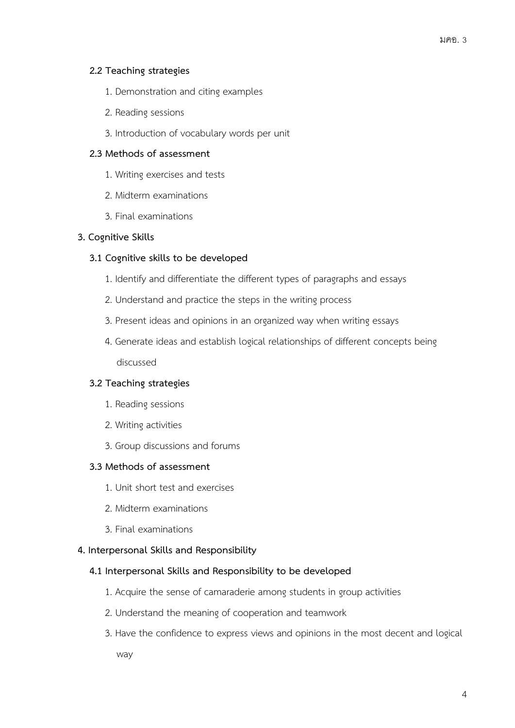## **2.2 Teaching strategies**

- 1. Demonstration and citing examples
- 2. Reading sessions
- 3. Introduction of vocabulary words per unit

# **2.3 Methods of assessment**

- 1. Writing exercises and tests
- 2. Midterm examinations
- 3. Final examinations

## **3. Cognitive Skills**

## **3.1 Cognitive skills to be developed**

- 1. Identify and differentiate the different types of paragraphs and essays
- 2. Understand and practice the steps in the writing process
- 3. Present ideas and opinions in an organized way when writing essays
- 4. Generate ideas and establish logical relationships of different concepts being discussed

# **3.2 Teaching strategies**

- 1. Reading sessions
- 2. Writing activities
- 3. Group discussions and forums

#### **3.3 Methods of assessment**

- 1. Unit short test and exercises
- 2. Midterm examinations
- 3. Final examinations

#### **4. Interpersonal Skills and Responsibility**

#### **4.1 Interpersonal Skills and Responsibility to be developed**

- 1. Acquire the sense of camaraderie among students in group activities
- 2. Understand the meaning of cooperation and teamwork
- 3. Have the confidence to express views and opinions in the most decent and logical

way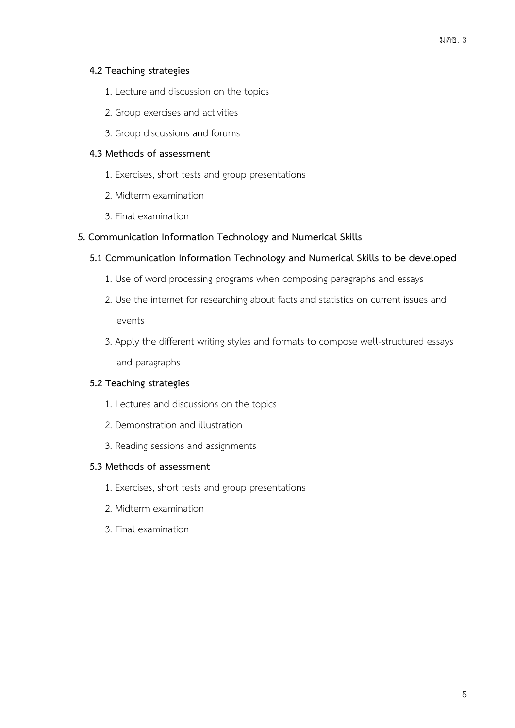## **4.2 Teaching strategies**

- 1. Lecture and discussion on the topics
- 2. Group exercises and activities
- 3. Group discussions and forums

#### **4.3 Methods of assessment**

- 1. Exercises, short tests and group presentations
- 2. Midterm examination
- 3. Final examination

## **5. Communication Information Technology and Numerical Skills**

## **5.1 Communication Information Technology and Numerical Skills to be developed**

- 1. Use of word processing programs when composing paragraphs and essays
- 2. Use the internet for researching about facts and statistics on current issues and events
- 3. Apply the different writing styles and formats to compose well-structured essays and paragraphs

# **5.2 Teaching strategies**

- 1. Lectures and discussions on the topics
- 2. Demonstration and illustration
- 3. Reading sessions and assignments

#### **5.3 Methods of assessment**

- 1. Exercises, short tests and group presentations
- 2. Midterm examination
- 3. Final examination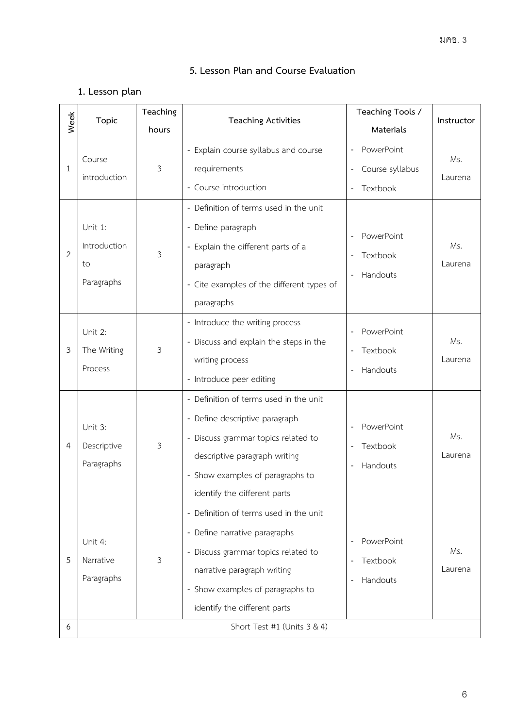# **5. Lesson Plan and Course Evaluation**

# **1. Lesson plan**

| Week           | Topic                                       | Teaching | <b>Teaching Activities</b>                                                                                                                                                                                           | Teaching Tools /<br>Instructor                                        |                |
|----------------|---------------------------------------------|----------|----------------------------------------------------------------------------------------------------------------------------------------------------------------------------------------------------------------------|-----------------------------------------------------------------------|----------------|
|                |                                             | hours    |                                                                                                                                                                                                                      | Materials                                                             |                |
| 1              | Course<br>introduction                      | 3        | - Explain course syllabus and course<br>requirements<br>- Course introduction                                                                                                                                        | PowerPoint<br>$\overline{\phantom{a}}$<br>Course syllabus<br>Textbook | Ms.<br>Laurena |
| 2              | Unit 1:<br>Introduction<br>to<br>Paragraphs | 3        | - Definition of terms used in the unit<br>- Define paragraph<br>- Explain the different parts of a<br>paragraph<br>- Cite examples of the different types of<br>paragraphs                                           | PowerPoint<br>Textbook<br>Handouts                                    | Ms.<br>Laurena |
| 3              | Unit 2:<br>The Writing<br>Process           | 3        | - Introduce the writing process<br>- Discuss and explain the steps in the<br>writing process<br>- Introduce peer editing                                                                                             | PowerPoint<br>Textbook<br>Handouts                                    | Ms.<br>Laurena |
| $\overline{4}$ | Unit 3:<br>Descriptive<br>Paragraphs        | 3        | - Definition of terms used in the unit<br>- Define descriptive paragraph<br>- Discuss grammar topics related to<br>descriptive paragraph writing<br>- Show examples of paragraphs to<br>identify the different parts | PowerPoint<br>Textbook<br>Handouts                                    | Ms.<br>Laurena |
| 5              | Unit 4:<br>Narrative<br>Paragraphs          | 3        | - Definition of terms used in the unit<br>- Define narrative paragraphs<br>- Discuss grammar topics related to<br>narrative paragraph writing<br>- Show examples of paragraphs to<br>identify the different parts    | PowerPoint<br>Textbook<br>Handouts                                    | Ms.<br>Laurena |
| 6              |                                             |          | Short Test #1 (Units 3 & 4)                                                                                                                                                                                          |                                                                       |                |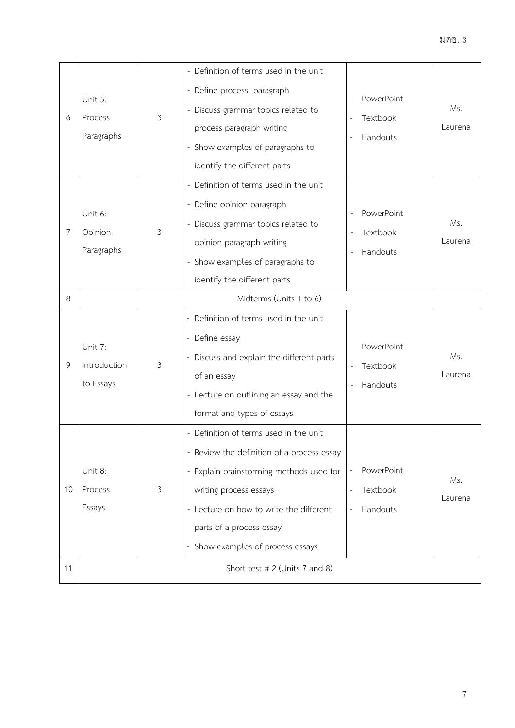| 6  | Unit 5:<br>Process<br>Paragraphs     | 3              | - Definition of terms used in the unit<br>- Define process paragraph<br>- Discuss grammar topics related to<br>process paragraph writing<br>- Show examples of paragraphs to<br>identify the different parts                                                           | PowerPoint<br>$\overline{\phantom{a}}$<br>Textbook<br>Handouts<br>$\overline{\phantom{a}}$ | Ms.<br>Laurena |
|----|--------------------------------------|----------------|------------------------------------------------------------------------------------------------------------------------------------------------------------------------------------------------------------------------------------------------------------------------|--------------------------------------------------------------------------------------------|----------------|
| 7  | Unit 6:<br>Opinion<br>Paragraphs     | $\mathfrak{Z}$ | - Definition of terms used in the unit<br>- Define opinion paragraph<br>- Discuss grammar topics related to<br>opinion paragraph writing<br>- Show examples of paragraphs to<br>identify the different parts                                                           | PowerPoint<br><b>Textbook</b><br>Handouts                                                  | Ms.<br>Laurena |
| 8  | Midterms (Units 1 to 6)              |                |                                                                                                                                                                                                                                                                        |                                                                                            |                |
| 9  | Unit 7:<br>Introduction<br>to Essays | 3              | - Definition of terms used in the unit<br>- Define essay<br>- Discuss and explain the different parts<br>of an essay<br>- Lecture on outlining an essay and the<br>format and types of essays                                                                          | PowerPoint<br>Textbook<br>Handouts                                                         | Ms.<br>Laurena |
| 10 | Unit 8:<br>Process<br>Essays         | 3              | - Definition of terms used in the unit<br>- Review the definition of a process essay<br>- Explain brainstorming methods used for<br>writing process essays<br>- Lecture on how to write the different<br>parts of a process essay<br>- Show examples of process essays | PowerPoint<br>Textbook<br>$\overline{a}$<br>Handouts<br>$\overline{a}$                     | Ms.<br>Laurena |
| 11 | Short test # 2 (Units 7 and 8)       |                |                                                                                                                                                                                                                                                                        |                                                                                            |                |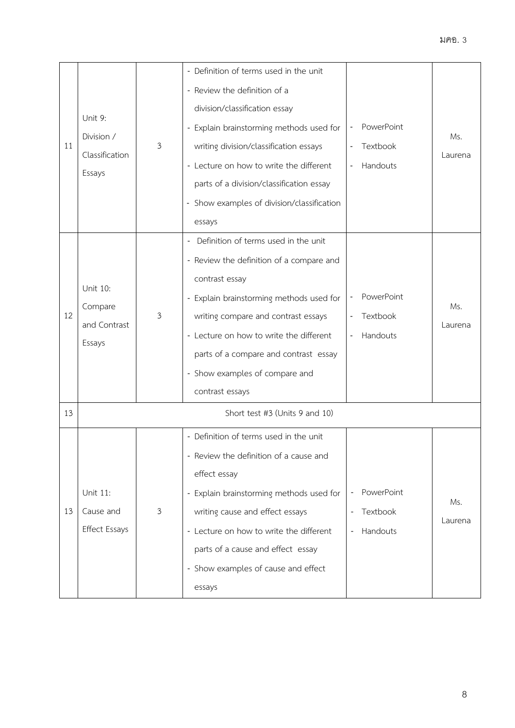| 11 | Unit 9:<br>Division /<br>Classification<br>Essays | 3              | - Definition of terms used in the unit<br>- Review the definition of a<br>division/classification essay<br>- Explain brainstorming methods used for<br>writing division/classification essays<br>- Lecture on how to write the different<br>parts of a division/classification essay<br>- Show examples of division/classification<br>essays | PowerPoint<br>Textbook<br>Handouts                             | Ms.<br>Laurena |
|----|---------------------------------------------------|----------------|----------------------------------------------------------------------------------------------------------------------------------------------------------------------------------------------------------------------------------------------------------------------------------------------------------------------------------------------|----------------------------------------------------------------|----------------|
| 12 | Unit 10:<br>Compare<br>and Contrast<br>Essays     | $\mathfrak{Z}$ | - Definition of terms used in the unit<br>- Review the definition of a compare and<br>contrast essay<br>- Explain brainstorming methods used for<br>writing compare and contrast essays<br>- Lecture on how to write the different<br>parts of a compare and contrast essay<br>- Show examples of compare and<br>contrast essays             | PowerPoint<br>Textbook<br>Handouts                             | Ms.<br>Laurena |
| 13 |                                                   |                | Short test #3 (Units 9 and 10)                                                                                                                                                                                                                                                                                                               |                                                                |                |
| 13 | Unit 11:<br>Cause and<br><b>Effect Essays</b>     | $\mathfrak{Z}$ | - Definition of terms used in the unit<br>- Review the definition of a cause and<br>effect essay<br>- Explain brainstorming methods used for<br>writing cause and effect essays<br>- Lecture on how to write the different<br>parts of a cause and effect essay<br>- Show examples of cause and effect<br>essays                             | PowerPoint<br>Textbook<br>Handouts<br>$\overline{\phantom{a}}$ | Ms.<br>Laurena |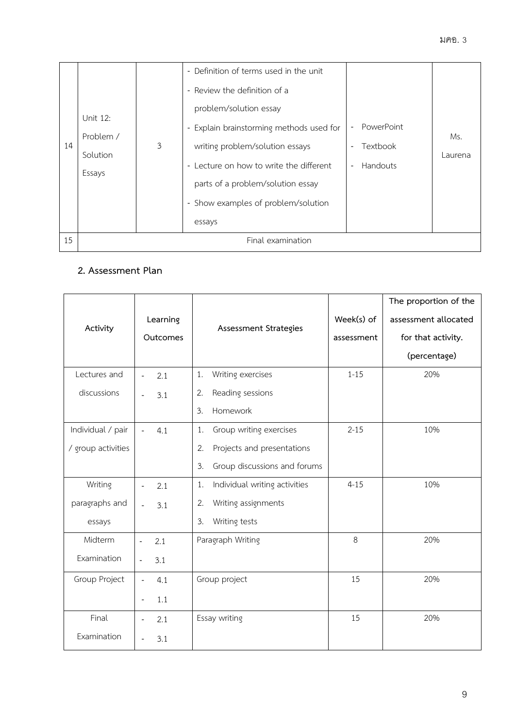| 14 | Unit 12:<br>Problem /<br>Solution<br>Essays | $\mathfrak{Z}$ | - Definition of terms used in the unit<br>- Review the definition of a<br>problem/solution essay<br>- Explain brainstorming methods used for<br>writing problem/solution essays<br>- Lecture on how to write the different<br>parts of a problem/solution essay<br>- Show examples of problem/solution<br>essays | PowerPoint<br>Textbook<br>- Handouts | Ms.<br>Laurena |
|----|---------------------------------------------|----------------|------------------------------------------------------------------------------------------------------------------------------------------------------------------------------------------------------------------------------------------------------------------------------------------------------------------|--------------------------------------|----------------|
| 15 | Final examination                           |                |                                                                                                                                                                                                                                                                                                                  |                                      |                |

# **2. Assessment Plan**

| Activity           | Learning<br>Outcomes            | Assessment Strategies               | Week(s) of<br>assessment | The proportion of the<br>assessment allocated<br>for that activity.<br>(percentage) |
|--------------------|---------------------------------|-------------------------------------|--------------------------|-------------------------------------------------------------------------------------|
| Lectures and       | 2.1<br>$\overline{\phantom{a}}$ | Writing exercises<br>1.             | $1 - 15$                 | 20%                                                                                 |
| discussions        | 3.1<br>$\overline{a}$           | Reading sessions<br>2.              |                          |                                                                                     |
|                    |                                 | Homework<br>3.                      |                          |                                                                                     |
| Individual / pair  | 4.1<br>$\blacksquare$           | Group writing exercises<br>1.       | $2 - 15$                 | 10%                                                                                 |
| / group activities |                                 | 2.<br>Projects and presentations    |                          |                                                                                     |
|                    |                                 | 3.<br>Group discussions and forums  |                          |                                                                                     |
| Writing            | 2.1<br>$\overline{\phantom{a}}$ | Individual writing activities<br>1. | $4 - 15$                 | 10%                                                                                 |
| paragraphs and     | 3.1<br>$\overline{\phantom{m}}$ | Writing assignments<br>2.           |                          |                                                                                     |
| essays             |                                 | Writing tests<br>3.                 |                          |                                                                                     |
| Midterm            | 2.1<br>$\overline{\phantom{a}}$ | Paragraph Writing                   | 8                        | 20%                                                                                 |
| Examination        | 3.1<br>$\frac{1}{2}$            |                                     |                          |                                                                                     |
| Group Project      | 4.1<br>$\Box$                   | Group project                       | 15                       | 20%                                                                                 |
|                    | 1.1<br>$\overline{\phantom{m}}$ |                                     |                          |                                                                                     |
| Final              | 2.1<br>$\qquad \qquad -$        | Essay writing                       | 15                       | 20%                                                                                 |
| Examination        | 3.1                             |                                     |                          |                                                                                     |